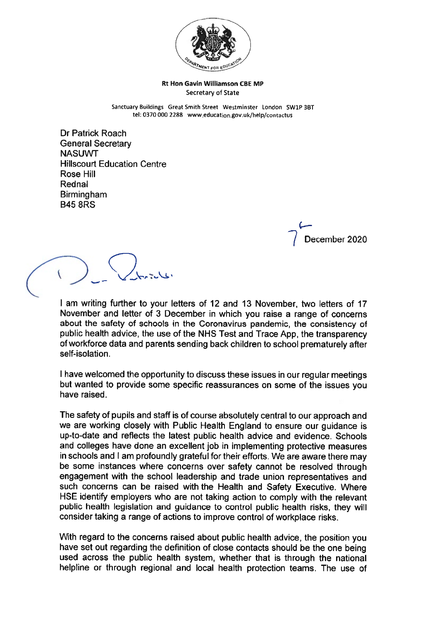

## Rt Hon Gavin Williamson CBE MP Secretary of State

Sanctuary Buildings Great Smith Street Westminster London SW1P 3BT tel: 0370 000 2288 www.education.gov.uk/help/contactus

Dr Patrick Roach General Secretary **NASUWT** Hillscourt Education Centre Rose Hill Rednal Birmingham B45 8RS

> C— December 2020

—.  $\vee$  .  $\vee$  t.  $\vee$ 

I am writing further to your letters of 12 and 13 November, two letters of 17 November and letter of <sup>3</sup> December in which you raise <sup>a</sup> range of concerns about the safety of schools in the Coronavirus pandemic, the consistency of public health advice, the use of the NHS Test and Trace App, the transparency of workforce data and parents sending back children to school prematurely after self-isolation.

<sup>I</sup> have welcomed the opportunity to discuss these issues in our regular meetings but wanted to provide some specific reassurances on some of the issues you have raised.

The safety of pupils and staff is of course absolutely central to our approach and we are working closely with Public Health England to ensure our guidance is up-to-date and reflects the latest public health advice and evidence. Schools and colleges have done an excellent job in implementing protective measures in schools and <sup>I</sup> am profoundly grateful for their efforts. We are aware there may be some instances where concerns over safety cannot be resolved through engagement with the school leadership and trade union representatives and such concerns can be raised with the Health and Safety Executive. Where HSE identify employers who are not taking action to comply with the relevant public health legislation and guidance to control public health risks, they will consider taking <sup>a</sup> range of actions to improve control of workplace risks.

With regar<sup>d</sup> to the concerns raised about public health advice, the position you have set out regarding the definition of close contacts should be the one being used across the public health system, whether that is through the national helpline or through regional and local health protection teams. The use of